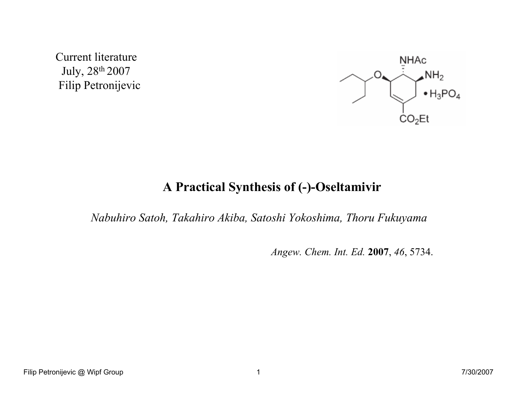Current literature July, 28th 2007Filip Petronijevic



# A Practical Synthesis of (-)-Oseltamivir

Nabuhiro Satoh, Takahiro Akiba, Satoshi Yokoshima, Thoru Fukuyama

Angew. Chem. Int. Ed. 2007, 46, 5734.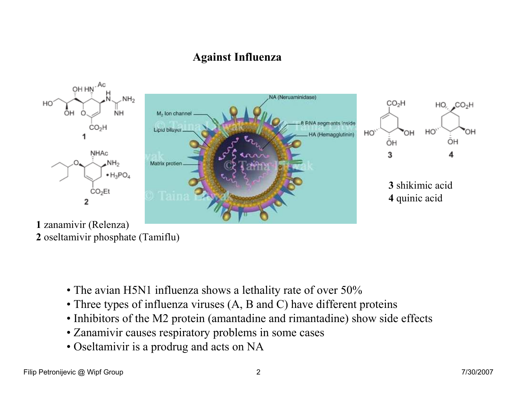## Against Influenza



- 2 oseltamivir <sup>p</sup>hosphate (Tamiflu)
	- The avian H5N1 influenza shows a lethality rate of over 50%
	- Three types of influenza viruses  $(A, B \text{ and } C)$  have different proteins <br>a Inhibitory of the M2 wastein (concepteding and ninearty dias) sharp side
	- Inhibitors of the M2 protein (amantadine and rimantadine) show side effects
	- Zanamivir causes respiratory problems in some cases
	- Oseltamivir is a prodrug and acts on NA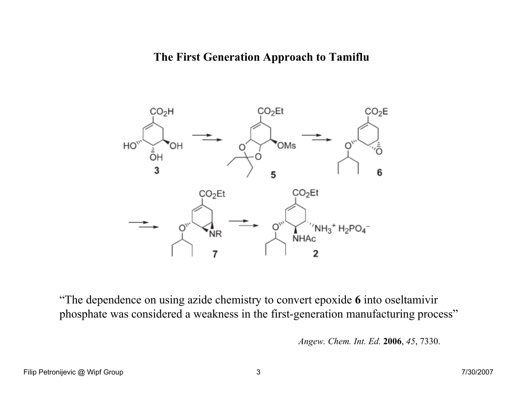#### The First Generation Approach to Tamiflu



"The dependence on using azide chemistry to convert epoxide 6 into oseltamivir phosphate was considered a weakness in the first-generation manufacturing process"

Angew. Chem. Int. Ed. 2006, 45, 7330.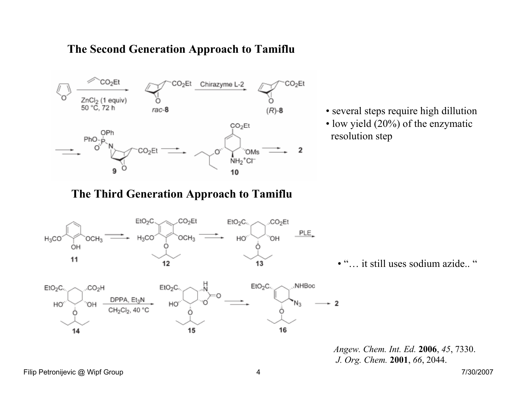### The Second Generation Approach to Tamiflu



- several steps require high dillution
- low yield (20%) of the enzymatic resolution step

The Third Generation Approach to Tamiflu



 $EtO<sub>2</sub>C$ 

HO<sup>'</sup>

15

• "... it still uses sodium azide.. "

Angew. Chem. Int. Ed. 2006, 45, 7330. J. Org. Chem. <sup>2001</sup>, 66, 2044.

Filip Petronijevic @ Wipf Group 2/30/2007

14

..CO<sub>2</sub>H

ЮH

CH<sub>2</sub>C<sub>l2</sub>

 $EtO<sub>2</sub>C$ 

HO,

16

 $EtO<sub>2</sub>C$ 

.NHBoc

 $\overline{2}$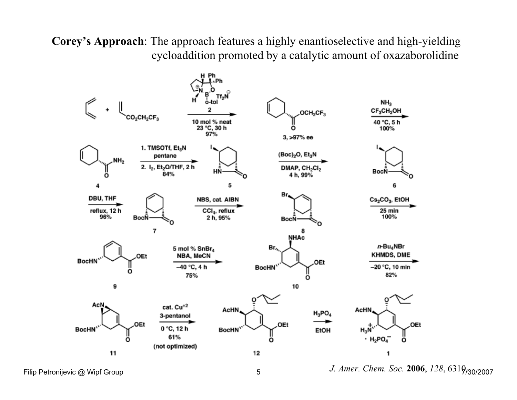Corey's Approach: The approach features a highly enantioselective and high-yielding cycloaddition promoted by a catalytic amount of oxazaborolidine



Filip Petronijevic @ Wipf Group  $J.$  Amer. Chem. Soc. 2006,  $128, 6319_{\rm /30/2007}$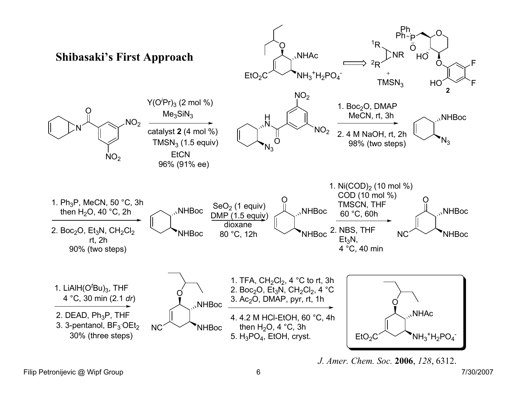

J. Amer. Chem. Soc. 2006, 128, 6312.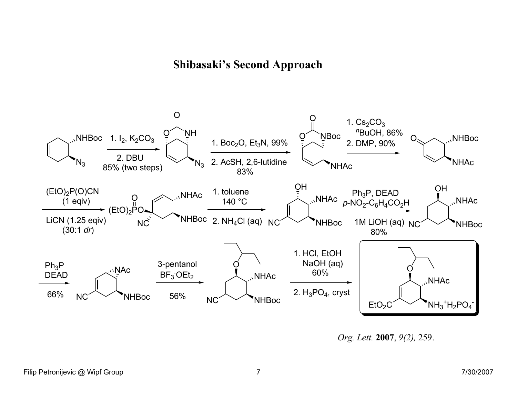## Shibasaki's Second Approach



Org. Lett. 2007, 9(2), 259.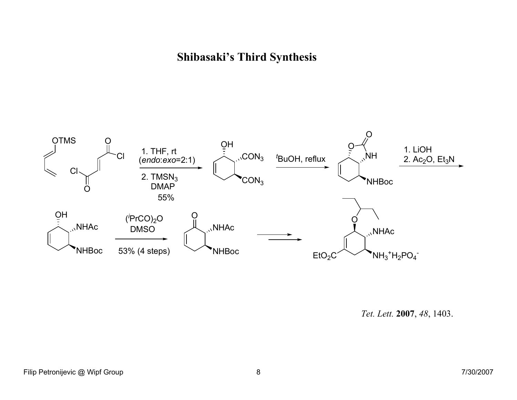## Shibasaki's Third Synthesis



Tet. Lett. 2007, 48, 1403.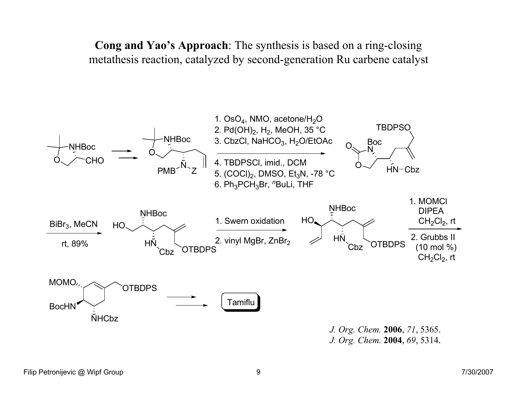Cong and Yao's Approach: The synthesis is based on a ring-closingmetathesis reaction, catalyzed by second-generation Ru carbene catalyst

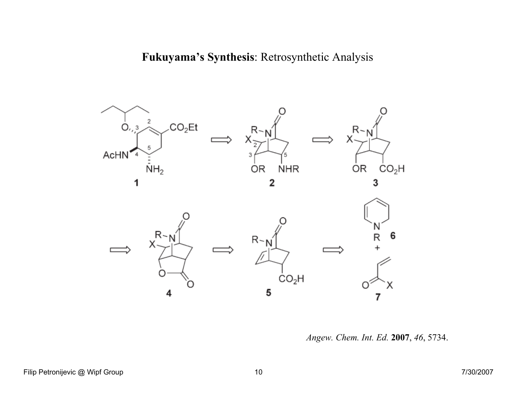Fukuyama's Synthesis: Retrosynthetic Analysis



Angew. Chem. Int. Ed. 2007, 46, 5734.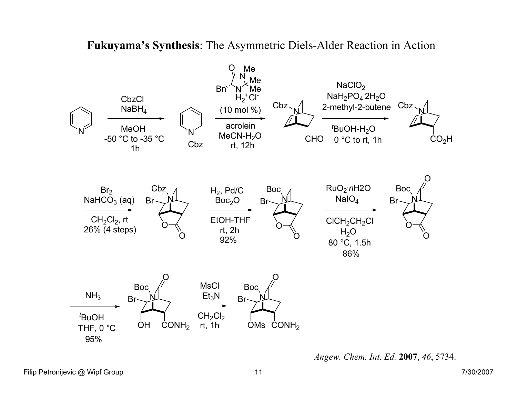### Fukuyama's Synthesis: The Asymmetric Diels-Alder Reaction in Action



Angew. Chem. Int. Ed. 2007, 46, 5734.

Filip Petronijevic @ Wipf Group 2/30/2007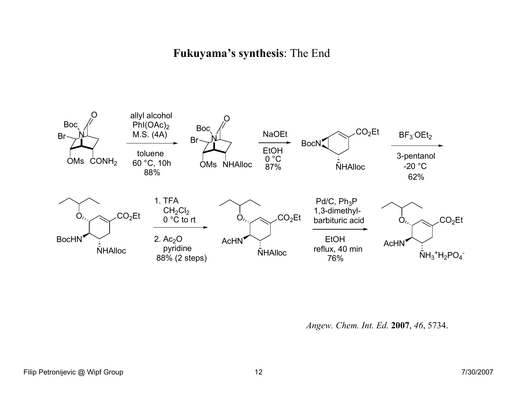#### Fukuyama's synthesis: The End



Angew. Chem. Int. Ed. 2007, 46, 5734.